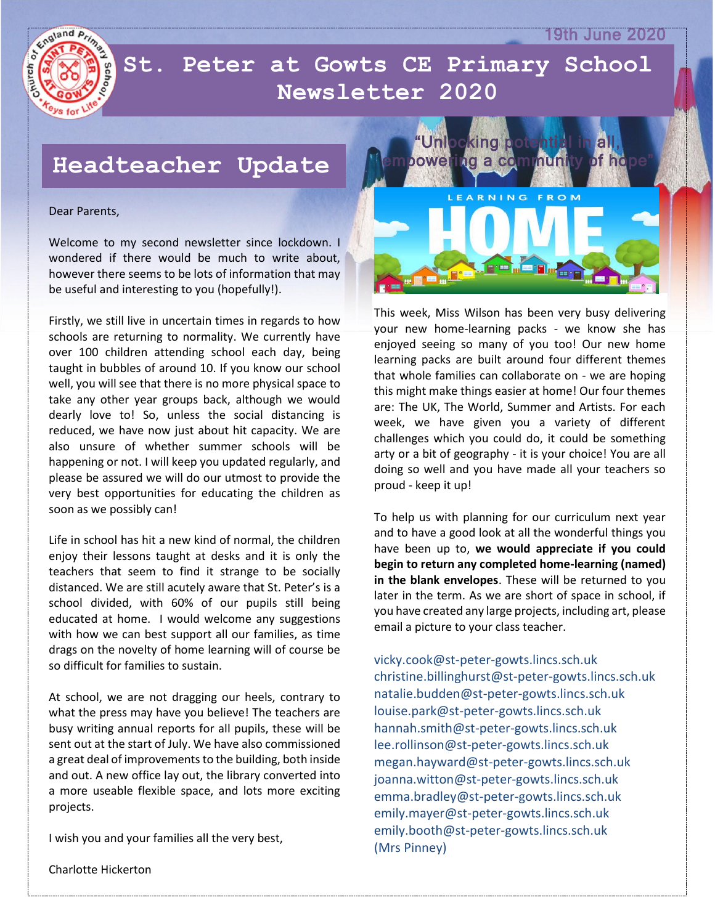19th June 2020



 **Newsletter 2020St. Peter at Gowts CE Primary School** 

## **Headteacher Update**

### Dear Parents,

Welcome to my second newsletter since lockdown. I wondered if there would be much to write about, however there seems to be lots of information that may be useful and interesting to you (hopefully!).

Firstly, we still live in uncertain times in regards to how schools are returning to normality. We currently have over 100 children attending school each day, being taught in bubbles of around 10. If you know our school well, you will see that there is no more physical space to take any other year groups back, although we would dearly love to! So, unless the social distancing is reduced, we have now just about hit capacity. We are also unsure of whether summer schools will be happening or not. I will keep you updated regularly, and please be assured we will do our utmost to provide the very best opportunities for educating the children as soon as we possibly can!

Life in school has hit a new kind of normal, the children enjoy their lessons taught at desks and it is only the teachers that seem to find it strange to be socially distanced. We are still acutely aware that St. Peter's is a school divided, with 60% of our pupils still being educated at home. I would welcome any suggestions with how we can best support all our families, as time drags on the novelty of home learning will of course be so difficult for families to sustain.

At school, we are not dragging our heels, contrary to what the press may have you believe! The teachers are busy writing annual reports for all pupils, these will be sent out at the start of July. We have also commissioned a great deal of improvements to the building, both inside and out. A new office lay out, the library converted into a more useable flexible space, and lots more exciting projects.

I wish you and your families all the very best,

Charlotte Hickerton



This week, Miss Wilson has been very busy delivering your new home-learning packs - we know she has enjoyed seeing so many of you too! Our new home learning packs are built around four different themes that whole families can collaborate on - we are hoping this might make things easier at home! Our four themes are: The UK, The World, Summer and Artists. For each week, we have given you a variety of different challenges which you could do, it could be something arty or a bit of geography - it is your choice! You are all doing so well and you have made all your teachers so proud - keep it up!

To help us with planning for our curriculum next year and to have a good look at all the wonderful things you have been up to, **we would appreciate if you could begin to return any completed home-learning (named) in the blank envelopes**. These will be returned to you later in the term. As we are short of space in school, if you have created any large projects, including art, please email a picture to your class teacher.

vicky.cook@st-peter-gowts.lincs.sch.uk christine.billinghurst@st-peter-gowts.lincs.sch.uk natalie.budden@st-peter-gowts.lincs.sch.uk louise.park@st-peter-gowts.lincs.sch.uk hannah.smith@st-peter-gowts.lincs.sch.uk lee.rollinson@st-peter-gowts.lincs.sch.uk megan.hayward@st-peter-gowts.lincs.sch.uk joanna.witton@st-peter-gowts.lincs.sch.uk emma.bradley@st-peter-gowts.lincs.sch.uk emily.mayer@st-peter-gowts.lincs.sch.uk emily.booth@st-peter-gowts.lincs.sch.uk (Mrs Pinney)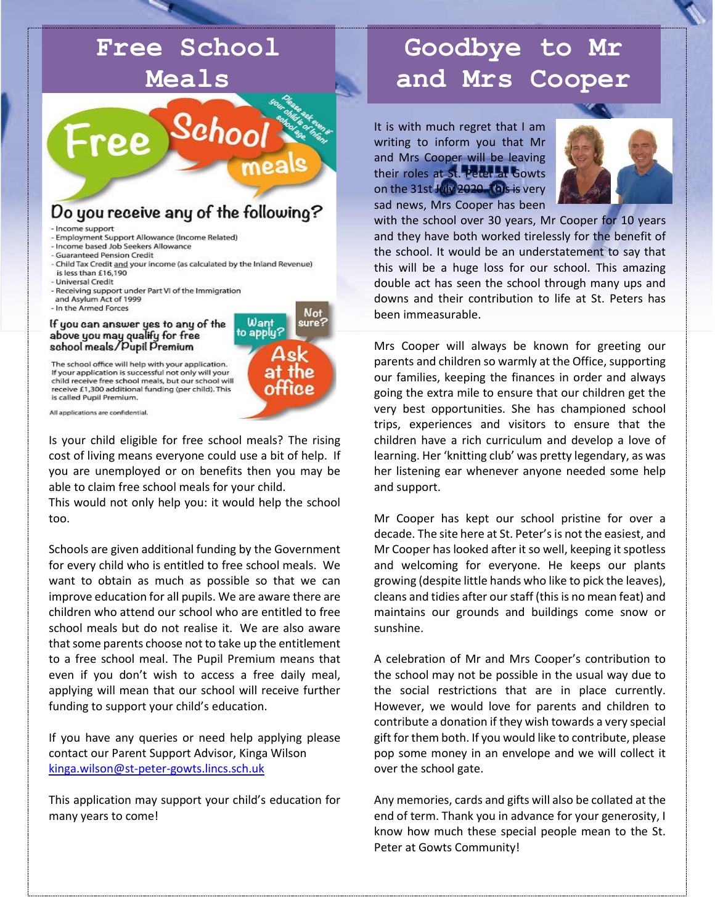## **Free School Meals**  $\mathcal{S}eho_{{\bm{O}}}$ **Free** Do you receive any of the following? - Income support - Employment Support Allowance (Income Related) - Income based Job Seekers Allowance **Guaranteed Pension Credit** - Child Tax Credit and your income (as calculated by the Inland Revenue) is less than £16,190 - Universal Credit - Receiving support under Part VI of the Immigration and Asylum Act of 1999 - In the Armed Forces Not

#### If you can answer yes to any of the above you may qualify for free school meals/Dupil Premium



The school office will help with your application. If your application is successful not only will your child receive free school meals, but our school will receive £1,300 additional funding (per child). This is called Pupil Premium.

All applications are confidential.

Is your child eligible for free school meals? The rising cost of living means everyone could use a bit of help. If you are unemployed or on benefits then you may be able to claim free school meals for your child.

This would not only help you: it would help the school too.

Schools are given additional funding by the Government for every child who is entitled to free school meals. We want to obtain as much as possible so that we can improve education for all pupils. We are aware there are children who attend our school who are entitled to free school meals but do not realise it. We are also aware that some parents choose not to take up the entitlement to a free school meal. The Pupil Premium means that even if you don't wish to access a free daily meal, applying will mean that our school will receive further funding to support your child's education.

If you have any queries or need help applying please contact our Parent Support Advisor, Kinga Wilson [kinga.wilson@st-peter-gowts.lincs.sch.uk](mailto:kinga.wilson@st-peter-gowts.lincs.sch.uk)

This application may support your child's education for many years to come!

# **Goodbye to Mr and Mrs Cooper**

It is with much regret that I am writing to inform you that Mr and Mrs Cooper will be leaving their roles at St. Peter at Gowts on the 31st July 2020. This is very sad news, Mrs Cooper has been



with the school over 30 years, Mr Cooper for 10 years and they have both worked tirelessly for the benefit of the school. It would be an understatement to say that this will be a huge loss for our school. This amazing double act has seen the school through many ups and downs and their contribution to life at St. Peters has been immeasurable.

Mrs Cooper will always be known for greeting our parents and children so warmly at the Office, supporting our families, keeping the finances in order and always going the extra mile to ensure that our children get the very best opportunities. She has championed school trips, experiences and visitors to ensure that the children have a rich curriculum and develop a love of learning. Her 'knitting club' was pretty legendary, as was her listening ear whenever anyone needed some help and support.

Mr Cooper has kept our school pristine for over a decade. The site here at St. Peter's is not the easiest, and Mr Cooper has looked after it so well, keeping it spotless and welcoming for everyone. He keeps our plants growing (despite little hands who like to pick the leaves), cleans and tidies after our staff (this is no mean feat) and maintains our grounds and buildings come snow or sunshine.

A celebration of Mr and Mrs Cooper's contribution to the school may not be possible in the usual way due to the social restrictions that are in place currently. However, we would love for parents and children to contribute a donation if they wish towards a very special gift for them both. If you would like to contribute, please pop some money in an envelope and we will collect it over the school gate.

Any memories, cards and gifts will also be collated at the end of term. Thank you in advance for your generosity, I know how much these special people mean to the St. Peter at Gowts Community!